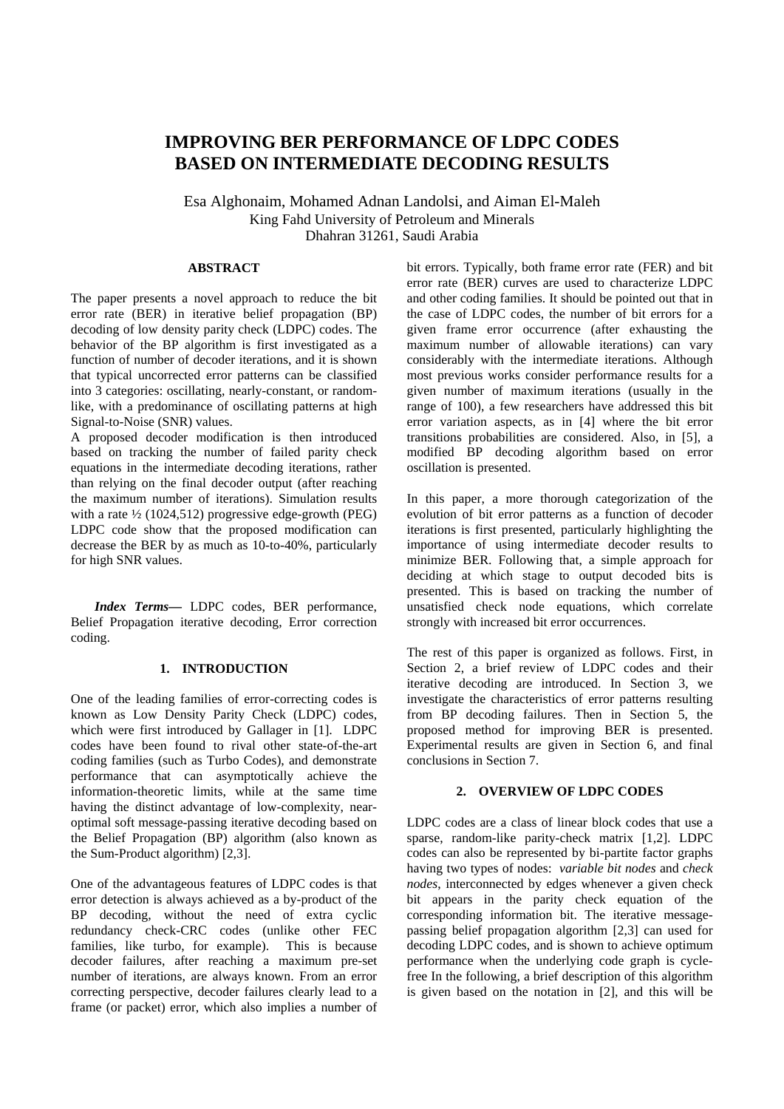# **IMPROVING BER PERFORMANCE OF LDPC CODES BASED ON INTERMEDIATE DECODING RESULTS**

Esa Alghonaim, Mohamed Adnan Landolsi, and Aiman El-Maleh King Fahd University of Petroleum and Minerals Dhahran 31261, Saudi Arabia

## **ABSTRACT**

The paper presents a novel approach to reduce the bit error rate (BER) in iterative belief propagation (BP) decoding of low density parity check (LDPC) codes. The behavior of the BP algorithm is first investigated as a function of number of decoder iterations, and it is shown that typical uncorrected error patterns can be classified into 3 categories: oscillating, nearly-constant, or randomlike, with a predominance of oscillating patterns at high Signal-to-Noise (SNR) values.

A proposed decoder modification is then introduced based on tracking the number of failed parity check equations in the intermediate decoding iterations, rather than relying on the final decoder output (after reaching the maximum number of iterations). Simulation results with a rate  $\frac{1}{2}$  (1024,512) progressive edge-growth (PEG) LDPC code show that the proposed modification can decrease the BER by as much as 10-to-40%, particularly for high SNR values.

*Index Terms—* LDPC codes, BER performance, Belief Propagation iterative decoding, Error correction coding.

## **1. INTRODUCTION**

One of the leading families of error-correcting codes is known as Low Density Parity Check (LDPC) codes, which were first introduced by Gallager in [1]. LDPC codes have been found to rival other state-of-the-art coding families (such as Turbo Codes), and demonstrate performance that can asymptotically achieve the information-theoretic limits, while at the same time having the distinct advantage of low-complexity, nearoptimal soft message-passing iterative decoding based on the Belief Propagation (BP) algorithm (also known as the Sum-Product algorithm) [2,3].

One of the advantageous features of LDPC codes is that error detection is always achieved as a by-product of the BP decoding, without the need of extra cyclic redundancy check-CRC codes (unlike other FEC families, like turbo, for example). This is because decoder failures, after reaching a maximum pre-set number of iterations, are always known. From an error correcting perspective, decoder failures clearly lead to a frame (or packet) error, which also implies a number of bit errors. Typically, both frame error rate (FER) and bit error rate (BER) curves are used to characterize LDPC and other coding families. It should be pointed out that in the case of LDPC codes, the number of bit errors for a given frame error occurrence (after exhausting the maximum number of allowable iterations) can vary considerably with the intermediate iterations. Although most previous works consider performance results for a given number of maximum iterations (usually in the range of 100), a few researchers have addressed this bit error variation aspects, as in [4] where the bit error transitions probabilities are considered. Also, in [5], a modified BP decoding algorithm based on error oscillation is presented.

In this paper, a more thorough categorization of the evolution of bit error patterns as a function of decoder iterations is first presented, particularly highlighting the importance of using intermediate decoder results to minimize BER. Following that, a simple approach for deciding at which stage to output decoded bits is presented. This is based on tracking the number of unsatisfied check node equations, which correlate strongly with increased bit error occurrences.

The rest of this paper is organized as follows. First, in Section 2, a brief review of LDPC codes and their iterative decoding are introduced. In Section 3, we investigate the characteristics of error patterns resulting from BP decoding failures. Then in Section 5, the proposed method for improving BER is presented. Experimental results are given in Section 6, and final conclusions in Section 7.

### **2. OVERVIEW OF LDPC CODES**

LDPC codes are a class of linear block codes that use a sparse, random-like parity-check matrix [1,2]. LDPC codes can also be represented by bi-partite factor graphs having two types of nodes: *variable bit nodes* and *check nodes*, interconnected by edges whenever a given check bit appears in the parity check equation of the corresponding information bit. The iterative messagepassing belief propagation algorithm [2,3] can used for decoding LDPC codes, and is shown to achieve optimum performance when the underlying code graph is cyclefree In the following, a brief description of this algorithm is given based on the notation in [2], and this will be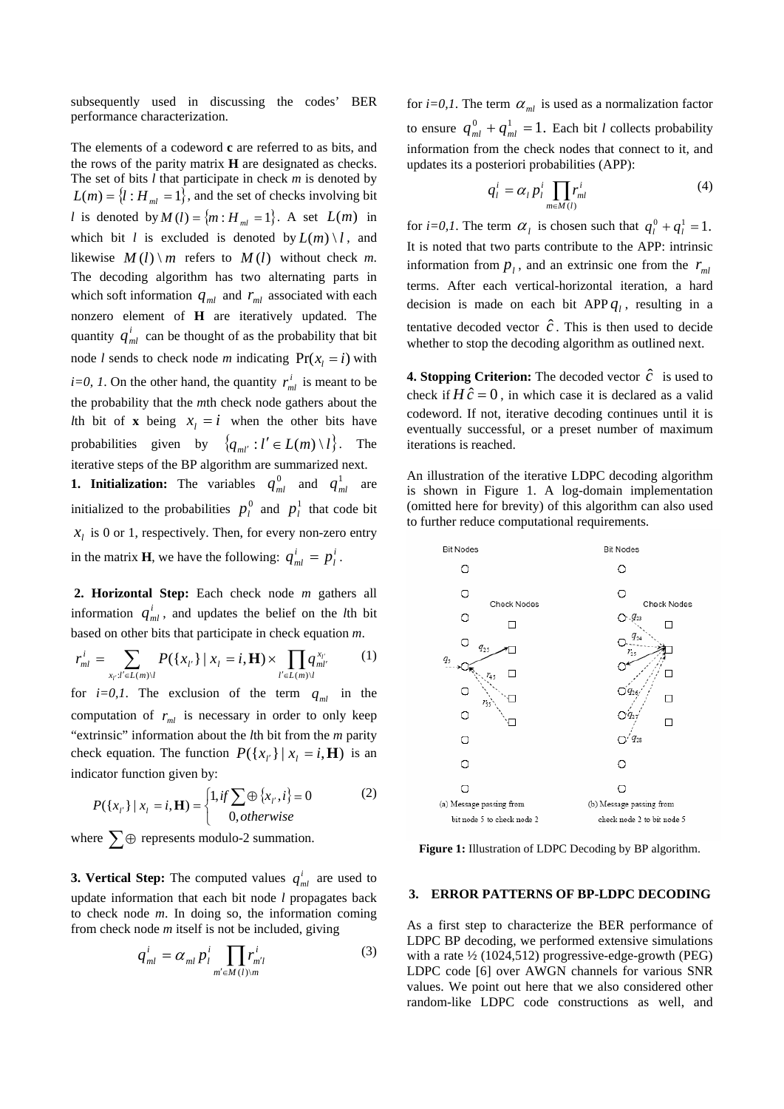subsequently used in discussing the codes' BER performance characterization.

The elements of a codeword **c** are referred to as bits, and the rows of the parity matrix **H** are designated as checks. The set of bits *l* that participate in check *m* is denoted by  $L(m) = \{l : H_{ml} = 1\}$ , and the set of checks involving bit *l* is denoted by  $M(l) = \{m : H_m = 1\}$ . A set  $L(m)$  in which bit *l* is excluded is denoted by  $L(m) \setminus l$ , and likewise  $M(l) \setminus m$  refers to  $M(l)$  without check m. The decoding algorithm has two alternating parts in which soft information  $q_{ml}$  and  $r_{ml}$  associated with each nonzero element of **H** are iteratively updated. The quantity  $q_{ml}^i$  can be thought of as the probability that bit node *l* sends to check node *m* indicating  $Pr(x_i = i)$  with *i*=0, 1. On the other hand, the quantity  $r_{ml}^i$  is meant to be the probability that the *m*th check node gathers about the Ith bit of **x** being  $x_i = i$  when the other bits have probabilities given by  $\{q_{ml'} : l' \in L(m) \setminus l\}$ . The iterative steps of the BP algorithm are summarized next.

**1. Initialization:** The variables  $q_{ml}^0$  and  $q_{ml}^1$  are initialized to the probabilities  $p_l^0$  and  $p_l^1$  that code bit  $x_l$  is 0 or 1, respectively. Then, for every non-zero entry in the matrix **H**, we have the following:  $q_{ml}^i = p_l^i$ . *l*  $q_{ml}^i = p$ 

**2. Horizontal Step:** Each check node *m* gathers all information  $q_{ml}^i$ , and updates the belief on the *l*th bit based on other bits that participate in check equation *m*.

$$
r_{ml}^{i} = \sum_{x_{l'}:l' \in L(m)\setminus l} P(\{x_{l'}\} \mid x_{l} = i, \mathbf{H}) \times \prod_{l' \in L(m)\setminus l} q_{ml'}^{x_{l'}} \tag{1}
$$

for  $i=0,1$ . The exclusion of the term  $q_{ml}$  in the computation of  $r_{ml}$  is necessary in order to only keep "extrinsic" information about the *l*th bit from the *m* parity check equation. The function  $P({x_i} | {x_i = i, H})$  is an indicator function given by:

$$
P({x_r}\mid x_t = i, \mathbf{H}) = \begin{cases} 1, & \text{if } \sum \oplus \{x_t, i\} = 0\\ 0, & \text{otherwise} \end{cases}
$$
 (2)

where  $\sum \oplus$  represents modulo-2 summation.

**3. Vertical Step:** The computed values  $q_{ml}^i$  are used to update information that each bit node *l* propagates back to check node *m*. In doing so, the information coming from check node *m* itself is not be included, giving

$$
q_{ml}^i = \alpha_{ml} p_l^i \prod_{m' \in M(l)\setminus m} r_{m'l}^i \tag{3}
$$

for  $i=0,1$ . The term  $\alpha_{ml}$  is used as a normalization factor to ensure  $q_{ml}^0 + q_{ml}^1 = 1$ . Each bit *l* collects probability information from the check nodes that connect to it, and pdates its a posteriori probabilities (APP): u

$$
q_l^i = \alpha_l p_l^i \prod_{m \in M(l)} r_m^i \tag{4}
$$

for *i*=0,1. The term  $\alpha_l$  is chosen such that  $q_l^0 + q_l^1 = 1$ . It is noted that two parts contribute to the APP: intrinsic information from  $p_l$ , and an extrinsic one from the  $r_m$ terms. After each vertical-horizontal iteration, a hard decision is made on each bit APP  $q_l$ , resulting in a tentative decoded vector  $\hat{c}$ . This is then used to decide whether to stop the decoding algorithm as outlined next.

**4. Stopping Criterion:** The decoded vector  $\hat{c}$  is used to check if  $H\hat{c} = 0$ , in which case it is declared as a valid codeword. If not, iterative decoding continues until it is eventually successful, or a preset number of maximum iterations is reached.

An illustration of the iterative LDPC decoding algorithm is shown in Figure 1. A log-domain implementation (omitted here for brevity) of this algorithm can also used to further reduce computational requirements.



**Figure 1:** Illustration of LDPC Decoding by BP algorithm.

#### **3. ERROR PATTERNS OF BP-LDPC DECODING**

As a first step to characterize the BER performance of LDPC BP decoding, we performed extensive simulations with a rate ½ (1024,512) progressive-edge-growth (PEG) LDPC code [6] over AWGN channels for various SNR values. We point out here that we also considered other random-like LDPC code constructions as well, and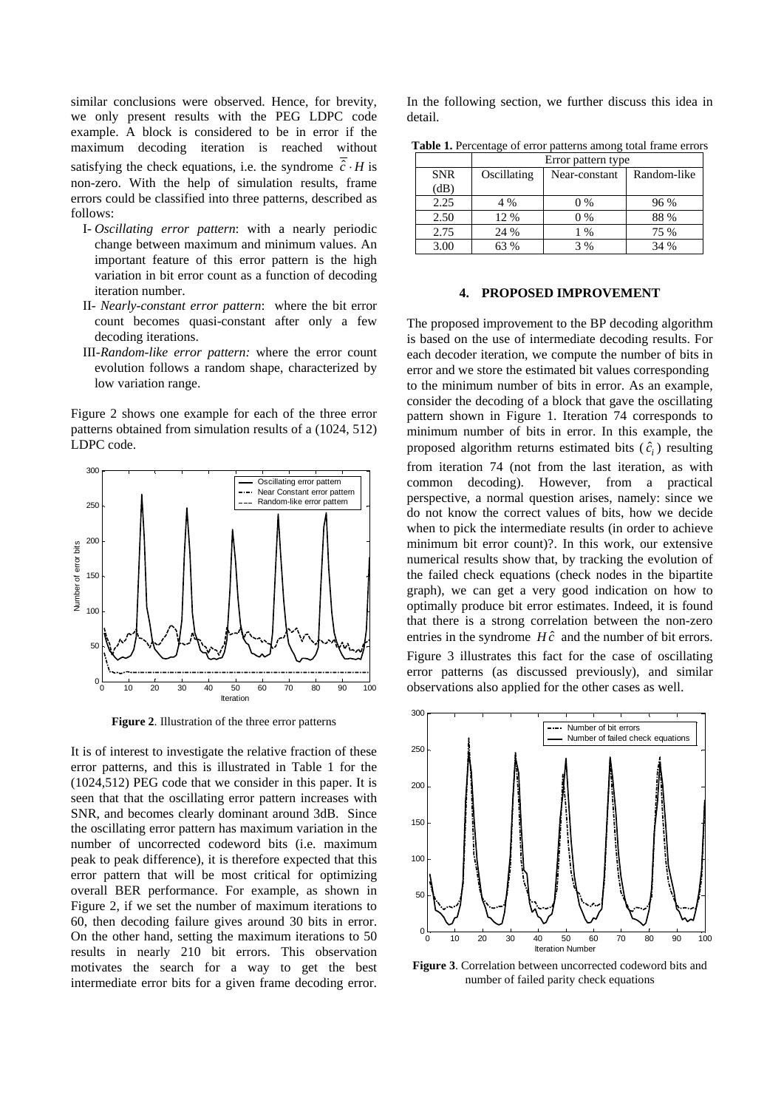similar conclusions were observed. Hence, for brevity, we only present results with the PEG LDPC code example. A block is considered to be in error if the maximum decoding iteration is reached without satisfying the check equations, i.e. the syndrome  $\hat{c} \cdot H$  is non-zero. With the help of simulation results, frame errors could be classified into three patterns, described as follows:

- I- *Oscillating error pattern*: with a nearly periodic change between maximum and minimum values. An important feature of this error pattern is the high variation in bit error count as a function of decoding iteration number.
- II- *Nearly-constant error pattern*: where the bit error count becomes quasi-constant after only a few decoding iterations.
- III-*Random-like error pattern:* where the error count evolution follows a random shape, characterized by low variation range.

Figure 2 shows one example for each of the three error patterns obtained from simulation results of a (1024, 512) LDPC code.



**Figure 2**. Illustration of the three error patterns

It is of interest to investigate the relative fraction of these error patterns, and this is illustrated in Table 1 for the (1024,512) PEG code that we consider in this paper. It is seen that that the oscillating error pattern increases with SNR, and becomes clearly dominant around 3dB. Since the oscillating error pattern has maximum variation in the number of uncorrected codeword bits (i.e. maximum peak to peak difference), it is therefore expected that this error pattern that will be most critical for optimizing overall BER performance. For example, as shown in Figure 2, if we set the number of maximum iterations to 60, then decoding failure gives around 30 bits in error. On the other hand, setting the maximum iterations to 50 results in nearly 210 bit errors. This observation motivates the search for a way to get the best intermediate error bits for a given frame decoding error.

In the following section, we further discuss this idea in detail.

**Table 1.** Percentage of error patterns among total frame errors

|            | Error pattern type |               |             |
|------------|--------------------|---------------|-------------|
| <b>SNR</b> | Oscillating        | Near-constant | Random-like |
| (dB)       |                    |               |             |
| 2.25       | 4 %                | $0\%$         | 96 %        |
| 2.50       | 12 %               | $0\%$         | 88 %        |
| 2.75       | 24 %               | $1\%$         | 75 %        |
| 3.00       | 63 %               | 3%            | 34 %        |

#### **4. PROPOSED IMPROVEMENT**

The proposed improvement to the BP decoding algorithm is based on the use of intermediate decoding results. For each decoder iteration, we compute the number of bits in error and we store the estimated bit values corresponding to the minimum number of bits in error. As an example, consider the decoding of a block that gave the oscillating pattern shown in Figure 1. Iteration 74 corresponds to minimum number of bits in error. In this example, the proposed algorithm returns estimated bits  $(\hat{c}_i)$  resulting from iteration 74 (not from the last iteration, as with common decoding). However, from a practical perspective, a normal question arises, namely: since we do not know the correct values of bits, how we decide when to pick the intermediate results (in order to achieve minimum bit error count)?. In this work, our extensive numerical results show that, by tracking the evolution of the failed check equations (check nodes in the bipartite graph), we can get a very good indication on how to optimally produce bit error estimates. Indeed, it is found that there is a strong correlation between the non-zero entries in the syndrome  $H\hat{c}$  and the number of bit errors. Figure 3 illustrates this fact for the case of oscillating error patterns (as discussed previously), and similar observations also applied for the other cases as well.



**Figure 3**. Correlation between uncorrected codeword bits and number of failed parity check equations